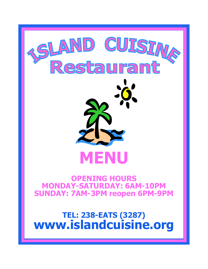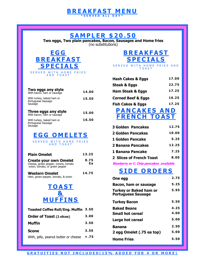#### **B R E A K F A S T M E N U \* S E R V E D A L L D A Y \***

### **S A M P L E R \$ 2 0 . 5 0**

**Two eggs, Two plain pancakes, Bacon, Sausages and Home fries**  (no substitutions)

![](_page_1_Picture_3.jpeg)

| Two eggs any style<br>With bacon, ham or sausage           | 14.00 |
|------------------------------------------------------------|-------|
| With turkey, baked ham or<br>Portuguese Sausage<br>Sausage | 15.50 |
|                                                            |       |
| Three eggs any style<br>With bacon, ham or sausage         | 15.00 |

## **E G G O M E L E T S**

SERVED WITH HOME FRIES A N D T O A S T

| <b>Plain Omelet</b><br><b>Create your own Omelet</b><br>Cheese, green pepper, onions, tomato<br>onion, tomato, or green pepper | 13.25<br>0.75<br>Eа |
|--------------------------------------------------------------------------------------------------------------------------------|---------------------|
| <b>Western Omelet</b><br>Ham, green pepper, tomato, & onion                                                                    | 14.75               |
| <b>TOAST</b><br><b>&amp;</b><br><b>MUFFINS</b>                                                                                 |                     |
| <b>Toasted Coffee Roll/Eng. Muffin</b>                                                                                         | 3.50                |
| <b>Order of Toast (2 slices)</b>                                                                                               | 3.00                |

| <b>Muffin</b>                               | 3.50 |
|---------------------------------------------|------|
| <b>Scone</b>                                | 3.50 |
| With, jelly, peanut butter or cheese $+.75$ |      |

# **B R E A K F A S T S P E C I A L S**

SERVED WITH HOME FRIES AND T O A S T

| <b>Hash Cakes &amp; Eggs</b>  | 17.00 |
|-------------------------------|-------|
| Steak & Eggs                  | 22.75 |
| Ham Steak & Eggs              | 17.25 |
| <b>Corned Beef &amp; Eggs</b> | 16.25 |
| Fish Cakes & Eggs             | 17.25 |

### **P A N C A K E S A N D F R E N C H T O A S T**

| <b>3 Golden Pancakes</b> | 12.75 |
|--------------------------|-------|
| 2 Golden Pancakes        | 10.00 |
| <b>1 Golden Pancake</b>  | 5.25  |
| 2 Banana Pancakes        | 12.25 |
| 1 Banana Pancake         | 7.25  |
| 2 Slices of French Toast | 8.00  |
|                          |       |

**Blueberry or C. Chip pancakes available**

## **SIDE ORDERS**

| One egg                                                    | 2.75 |
|------------------------------------------------------------|------|
| Bacon, ham or sausage                                      | 5.25 |
| <b>Turkey or Baked ham or</b><br><b>Portuguese Sausage</b> | 5.95 |
| <b>Turkey Bacon</b>                                        | 5.50 |
| <b>Baked Beans</b>                                         | 4.25 |
| <b>Small hot cereal</b>                                    | 4.00 |
| Large hot cereal                                           | 5.00 |
| <b>Banana</b>                                              | 2.50 |
| 2 egg Omelet (.75 ea top)                                  | 5.00 |
| <b>Home Fries</b>                                          | 5.50 |

#### **G R A T U I T I E S N O T I N C L U DED ( 1 5 % A D D E D F O R 4 O R M O R E )**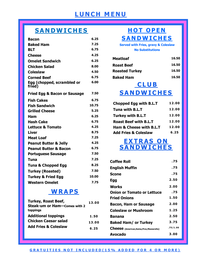# **L U N C H M E N U**

# **S A N D W I C H E S**

| <b>Bacon</b>                            | 6.25  |
|-----------------------------------------|-------|
| <b>Baked Ham</b>                        | 7.25  |
| <b>BLT</b>                              | 6.75  |
| <b>Cheese</b>                           | 4.25  |
| <b>Omelet Sandwich</b>                  | 6.25  |
| <b>Chicken Salad</b>                    | 8.00  |
| <b>Coleslaw</b>                         | 4.50  |
| <b>Corned Beef</b>                      | 6.75  |
| Egg (chopped, scrambled or<br>fried)    | 6.00  |
| <b>Fried Egg &amp; Bacon or Sausage</b> | 7.50  |
| <b>Fish Cakes</b>                       | 6.75  |
| <b>Fish Sandwich</b>                    | 10.75 |
| <b>Grilled Cheese</b>                   | 5.25  |
| Ham                                     | 6.25  |
| <b>Hash Cake</b>                        | 6.75  |
| <b>Lettuce &amp; Tomato</b>             | 4.25  |
| <b>Liver</b>                            | 8.75  |
| <b>Meat Loaf</b>                        | 7.25  |
| <b>Peanut Butter &amp; Jelly</b>        | 4.25  |
| <b>Peanut Butter &amp; Bacon</b>        | 6.75  |
| <b>Portuguese Sausage</b>               | 7.50  |
| Tuna                                    | 7.25  |
| <b>Tuna &amp; Chopped Egg</b>           | 8.25  |
| <b>Turkey (Roasted)</b>                 | 7.50  |
| <b>Turkey &amp; Fried Egg</b>           | 10.00 |
| <b>Western Omelet</b>                   | 7.75  |

# **WRAPS**

| <b>Turkey, Roast Beef,</b>          | 13.00 |
|-------------------------------------|-------|
| <b>Steak-um or Ham-Comes with 2</b> |       |
| toppings                            |       |
| <b>Additional toppings</b>          | 1.50  |
| <b>Chicken Caesar salad</b>         | 13.00 |
| <b>Add Fries &amp; Coleslaw</b>     | 6.25  |

## **HOT OPEN S A N D W I C H E S**

#### **Served with Fries, gravy & Coleslaw No Substitutions**

| Meatloaf              | 16.50 |
|-----------------------|-------|
| <b>Roast Beef</b>     | 16.50 |
| <b>Roasted Turkey</b> | 16.50 |
| <b>Baked Ham</b>      | 16.50 |

# **C L U B S A N D W I C H E S**

| Chopped Egg with B.L.T             | 12.00 |
|------------------------------------|-------|
| Tuna with B.L.T                    | 12.00 |
| <b>Turkey with B.L.T</b>           | 12.00 |
| <b>Roast Beef with B.L.T</b>       | 12.00 |
| <b>Ham &amp; Cheese with B.L.T</b> | 12.00 |
| <b>Add Fries &amp; Coleslaw</b>    | 6.25  |

### $\overline{\mathbf{EXTRASON}}$ **S A N D W I C H E S**

| <b>Coffee Roll</b>                         | .75      |
|--------------------------------------------|----------|
| <b>English Muffin</b>                      | .75      |
| Scone                                      | .75      |
| Egg                                        | 2.50     |
| Works                                      | 2.00     |
| <b>Onion or Tomato or Lettuce</b>          | .75      |
| <b>Fried Onions</b>                        | 1.50     |
| <b>Bacon, Ham or Sausage</b>               | 2.00     |
| Coleslaw or Mushroom                       | 1.25     |
| Banana                                     | 2.50     |
| <b>Baked Ham/ or Turkey</b>                | 3.75     |
| Cheese (American, Swiss, Prov, Mozzarella) | .75/1.00 |
| Avocado                                    | 3.00     |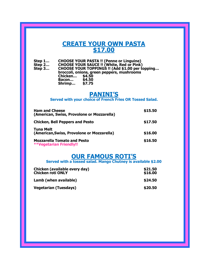### **CREATE YOUR OWN PASTA \$17.00**

**Step 1… CHOOSE YOUR PASTA !! (Penne or Linguine) Step 2… CHOOSE YOUR SAUCE !! (White, Red or Pink) Step 3… CHOOSE YOUR TOPPINGS !! (Add \$1.00 per topping… broccoli, onions, green peppers, mushrooms Chicken… \$4.50 Bacon… \$4.50 Shrimp… \$7.75**

### **PANINI'S**

**Served with your choice of French Fries OR Tossed Salad.**

| <b>Ham and Cheese</b><br>(American, Swiss, Provolone or Mozzarella)  | \$15.50 |
|----------------------------------------------------------------------|---------|
| <b>Chicken, Bell Peppers and Pesto</b>                               | \$17.50 |
| Tuna Melt<br>(American, Swiss, Provolone or Mozzarella)              | \$16.00 |
| <b>Mozzarella Tomato and Pesto</b><br><b>**Vegetarian Friendly!!</b> | \$16.50 |

### **OUR FAMOUS ROTI'S**

**Served with a tossed salad. Mango Chutney is available \$2.00**

| Chicken (available every day)<br><b>Chicken roti ONLY</b> | \$21.50<br>\$16.00 |
|-----------------------------------------------------------|--------------------|
| Lamb (when available)                                     | \$24.50            |
| <b>Vegetarian (Tuesdays)</b>                              | \$20.50            |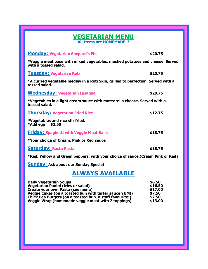#### **VEGETARIAN MENU All Items are HOMEMADE !!**

**Monday: Vegetarian Shepard's Pie \$20.75 \*Veggie meat base with mixed vegetables, mashed potatoes and cheese. Served with a tossed salad. Tuesday: Vegetarian Roti \$20.75 \*A curried vegetable medley in a Roti Skin, grilled to perfection. Served with a tossed salad. Wednesday: Vegetarian Lasagna \$20.75 \*Vegetables in a light cream sauce with mozzarella cheese. Served with a tossed salad. Thursday: Vegetarian Fried Rice \$12.75 \*Vegetables and rice stir fried. \*Add egg = \$2.50 Friday: Spaghetti with Veggie Meat Balls \$18.75 \*Your choice of Cream, Pink or Red sauce Saturday: Rasta Pasta \$18.75 \*Red, Yellow and Green peppers, with your choice of sauce.(Cream,Pink or Red)**

**Sunday: Ask about our Sunday Special**

## **ALWAYS AVAILABLE**

| <b>Daily Vegetarian Soups</b>                            | \$6.50  |
|----------------------------------------------------------|---------|
| <b>Vegetarian Panini (fries or salad)</b>                | \$16.50 |
| Create your own Pasta (see menu)                         | \$17.00 |
| Veggie Cakes (on a toasted bun with tarter sauce YUM!)   | \$7.50  |
| Chick Pea Burgers (on a toasted bun, a staff favourite!) | \$7.50  |
| Veggie Wrap (homemade veggie meat with 2 toppings)       | \$13.00 |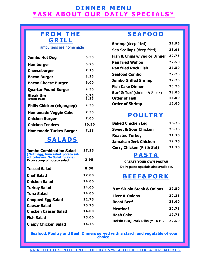### **D I N N E R M E N U** <u>\* ASK ABOUT OUR DAILY SPECIALS\*</u>

![](_page_5_Picture_1.jpeg)

#### Hamburgers are homemade

| <b>Jumbo Hot Dog</b>              | 6.50         |
|-----------------------------------|--------------|
| <b>Hamburger</b>                  | 6.75         |
| <b>Cheeseburger</b>               | 7.25         |
| <b>Bacon Burger</b>               | 8.25         |
| <b>Bacon Cheese Burger</b>        | 9.00         |
| <b>Quarter Pound Burger</b>       | 9.50         |
| Steak Um<br>(Double Meat)         | 6.75<br>8.25 |
| <b>Philly Chicken (ch,on,pep)</b> | 9.50         |
| <b>Homemade Veggie Cake</b>       | 7.50         |
| <b>Chicken Burger</b>             | 7.00         |
| <b>Chicken Tenders</b>            | 10.50        |
| <b>Homemade Turkey Burger</b>     | 7.25         |

## **S A L A D S**

| <b>Jumbo Combination Salad</b><br>(With egg, tuna salad, potato sal-  | 17.25 |
|-----------------------------------------------------------------------|-------|
| ad, coleslaw, No Substitutions)<br><b>Extra scoop of potato salad</b> | 2.95  |
| <b>Tossed Salad</b>                                                   | 8.50  |
| <b>Chef Salad</b>                                                     | 17.00 |
| Chicken Salad                                                         | 14.00 |
| <b>Turkey Salad</b>                                                   | 14.00 |
| <b>Tuna Salad</b>                                                     | 14.00 |
| <b>Chopped Egg Salad</b>                                              | 12.75 |
| Caesar Salad                                                          | 10.75 |
| <b>Chicken Caesar Salad</b>                                           | 14.00 |
| <b>Fish Salad</b>                                                     | 15.00 |
| <b>Crispy Chicken Salad</b>                                           | 14.75 |

# **S E A F O O D**

| <b>Shrimp</b> (deep-fried)              | 22.95 |
|-----------------------------------------|-------|
| <b>Sea Scallops</b> (deep-fried)        | 23.95 |
| <b>Fish &amp; Chips w veg or Dinner</b> | 22.75 |
| <b>Pan fried Wahoo</b>                  | 27.50 |
| <b>Pan fried Rock Fish</b>              | 37.50 |
| <b>Seafood Combo</b>                    | 27.25 |
| <b>Jumbo Grilled Shrimp</b>             | 37.75 |
| <b>Fish Cake Dinner</b>                 | 20.75 |
| <b>Surf &amp; Turf</b> (shrimp & Steak) | 38.00 |
| <b>Order of Fish</b>                    | 14.00 |
| <b>Order of Shrimp</b>                  | 16.00 |

## **P O U L T R Y**

| <b>Baked Chicken Leg</b>             | 18.75 |
|--------------------------------------|-------|
| <b>Sweet &amp; Sour Chicken</b>      | 20.75 |
| <b>Roasted Turkey</b>                | 21.25 |
| <b>Jamaican Jerk Chicken</b>         | 19.75 |
| <b>Curry Chicken (Fri &amp; Sat)</b> | 21.75 |

### **P A S T A**

**CREATE YOUR OWN PASTA!! Daily pasta specials also available.**

# **B E E F & P O R K**

| 8 oz Sirloin Steak & Onions      | 29.50 |
|----------------------------------|-------|
| <b>Liver &amp; Onions</b>        | 20.25 |
| <b>Roast Beef</b>                | 21.00 |
| <b>Meatloaf</b>                  | 20.75 |
| <b>Hash Cake</b>                 | 19.75 |
| Hoisin BBQ Pork Ribs (Th. & Fri) | 22.50 |

**Seafood, Poultry and Beef Dinners served with a starch and vegetable of your choice.** 

All meals & Daily Specials are served with one choice of: **G R A T U I T I E S N O T I N C L U DED ( 1 5 % A D D E D F O R 4 O R M O R E )**